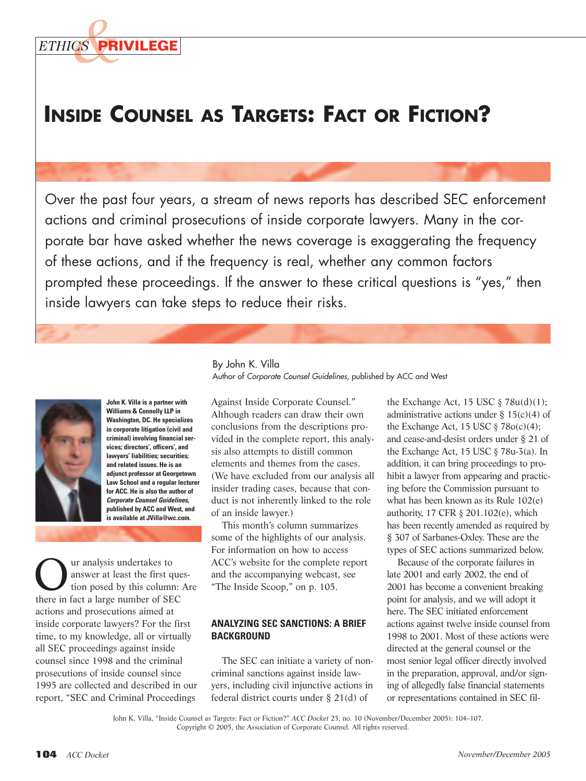

# **INSIDE COUNSEL AS TARGETS: FACT OR FICTION?**

Over the past four years, a stream of news reports has described SEC enforcement actions and criminal prosecutions of inside corporate lawyers. Many in the corporate bar have asked whether the news coverage is exaggerating the frequency of these actions, and if the frequency is real, whether any common factors prompted these proceedings. If the answer to these critical questions is "yes," then inside lawyers can take steps to reduce their risks.



**John K. Villa is a partner with Williams & Connolly LLP in Washington, DC. He specializes in corporate litigation (civil and criminal) involving financial services; directors', officers', and lawyers' liabilities; securities; and related issues. He is an adjunct professor at Georgetown Law School and a regular lecturer for ACC. He is also the author of Corporate Counsel Guidelines, published by ACC and West, and is available at JVilla@wc.com.**

**Our analysis undertakes to**<br>answer at least the first question posed by this column: Are<br>there in fact a large number of SEC answer at least the first questhere in fact a large number of SEC actions and prosecutions aimed at inside corporate lawyers? For the first time, to my knowledge, all or virtually all SEC proceedings against inside counsel since 1998 and the criminal prosecutions of inside counsel since 1995 are collected and described in our report, "SEC and Criminal Proceedings

By John K. Villa Author of Corporate Counsel Guidelines, published by ACC and West

Against Inside Corporate Counsel." Although readers can draw their own conclusions from the descriptions provided in the complete report, this analysis also attempts to distill common elements and themes from the cases. (We have excluded from our analysis all insider trading cases, because that conduct is not inherently linked to the role of an inside lawyer.)

This month's column summarizes some of the highlights of our analysis. For information on how to access ACC's website for the complete report and the accompanying webcast, see "The Inside Scoop," on p. 105.

## **ANALYZING SEC SANCTIONS: A BRIEF BACKGROUND**

The SEC can initiate a variety of noncriminal sanctions against inside lawyers, including civil injunctive actions in federal district courts under § 21(d) of

the Exchange Act,  $15 \text{ USC} \text{ } \frac{8}{9} \text{ } 78u(d)(1);$ administrative actions under  $\S 15(c)(4)$  of the Exchange Act, 15 USC  $\S$  78 $o(c)(4)$ ; and cease-and-desist orders under § 21 of the Exchange Act, 15 USC § 78u-3(a). In addition, it can bring proceedings to prohibit a lawyer from appearing and practicing before the Commission pursuant to what has been known as its Rule 102(e) authority, 17 CFR § 201.102(e), which has been recently amended as required by § 307 of Sarbanes-Oxley. These are the types of SEC actions summarized below.

Because of the corporate failures in late 2001 and early 2002, the end of 2001 has become a convenient breaking point for analysis, and we will adopt it here. The SEC initiated enforcement actions against twelve inside counsel from 1998 to 2001. Most of these actions were directed at the general counsel or the most senior legal officer directly involved in the preparation, approval, and/or signing of allegedly false financial statements or representations contained in SEC fil-

John K. Villa, "Inside Counsel as Targets: Fact or Fiction?" *ACC Docket* 23, no. 10 (November/December 2005): 104–107. Copyright © 2005, the Association of Corporate Counsel. All rights reserved.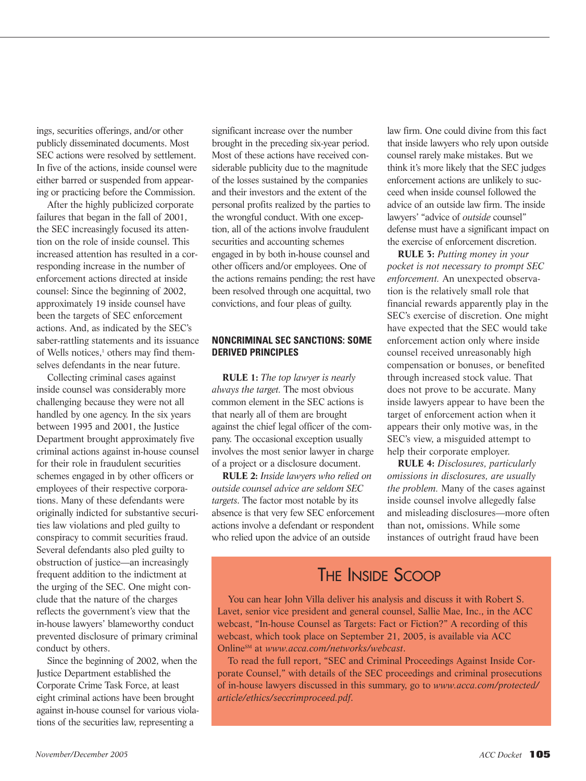ings, securities offerings, and/or other publicly disseminated documents. Most SEC actions were resolved by settlement. In five of the actions, inside counsel were either barred or suspended from appearing or practicing before the Commission.

After the highly publicized corporate failures that began in the fall of 2001, the SEC increasingly focused its attention on the role of inside counsel. This increased attention has resulted in a corresponding increase in the number of enforcement actions directed at inside counsel: Since the beginning of 2002, approximately 19 inside counsel have been the targets of SEC enforcement actions. And, as indicated by the SEC's saber-rattling statements and its issuance of Wells notices,<sup>1</sup> others may find themselves defendants in the near future.

Collecting criminal cases against inside counsel was considerably more challenging because they were not all handled by one agency. In the six years between 1995 and 2001, the Justice Department brought approximately five criminal actions against in-house counsel for their role in fraudulent securities schemes engaged in by other officers or employees of their respective corporations. Many of these defendants were originally indicted for substantive securities law violations and pled guilty to conspiracy to commit securities fraud. Several defendants also pled guilty to obstruction of justice—an increasingly frequent addition to the indictment at the urging of the SEC. One might conclude that the nature of the charges reflects the government's view that the in-house lawyers' blameworthy conduct prevented disclosure of primary criminal conduct by others.

Since the beginning of 2002, when the Justice Department established the Corporate Crime Task Force, at least eight criminal actions have been brought against in-house counsel for various violations of the securities law, representing a

significant increase over the number brought in the preceding six-year period. Most of these actions have received considerable publicity due to the magnitude of the losses sustained by the companies and their investors and the extent of the personal profits realized by the parties to the wrongful conduct. With one exception, all of the actions involve fraudulent securities and accounting schemes engaged in by both in-house counsel and other officers and/or employees. One of the actions remains pending; the rest have been resolved through one acquittal, two convictions, and four pleas of guilty.

#### **NONCRIMINAL SEC SANCTIONS: SOME DERIVED PRINCIPLES**

**RULE 1:** *The top lawyer is nearly always the target.* The most obvious common element in the SEC actions is that nearly all of them are brought against the chief legal officer of the company. The occasional exception usually involves the most senior lawyer in charge of a project or a disclosure document.

**RULE 2:** *Inside lawyers who relied on outside counsel advice are seldom SEC targets*. The factor most notable by its absence is that very few SEC enforcement actions involve a defendant or respondent who relied upon the advice of an outside

law firm. One could divine from this fact that inside lawyers who rely upon outside counsel rarely make mistakes. But we think it's more likely that the SEC judges enforcement actions are unlikely to succeed when inside counsel followed the advice of an outside law firm. The inside lawyers' "advice of *outside* counsel" defense must have a significant impact on the exercise of enforcement discretion.

**RULE 3:** *Putting money in your pocket is not necessary to prompt SEC enforcement.* An unexpected observation is the relatively small role that financial rewards apparently play in the SEC's exercise of discretion. One might have expected that the SEC would take enforcement action only where inside counsel received unreasonably high compensation or bonuses, or benefited through increased stock value. That does not prove to be accurate. Many inside lawyers appear to have been the target of enforcement action when it appears their only motive was, in the SEC's view, a misguided attempt to help their corporate employer.

**RULE 4:** *Disclosures, particularly omissions in disclosures, are usually the problem.* Many of the cases against inside counsel involve allegedly false and misleading disclosures—more often than not**,** omissions. While some instances of outright fraud have been

# THE INSIDE SCOOP

You can hear John Villa deliver his analysis and discuss it with Robert S. Lavet, senior vice president and general counsel, Sallie Mae, Inc., in the ACC webcast, "In-house Counsel as Targets: Fact or Fiction?" A recording of this webcast, which took place on September 21, 2005, is available via ACC OnlineSM at *www.acca.com/networks/webcast*.

To read the full report, "SEC and Criminal Proceedings Against Inside Corporate Counsel," with details of the SEC proceedings and criminal prosecutions of in-house lawyers discussed in this summary, go to *www.acca.com/protected/ article/ethics/seccrimproceed.pdf*.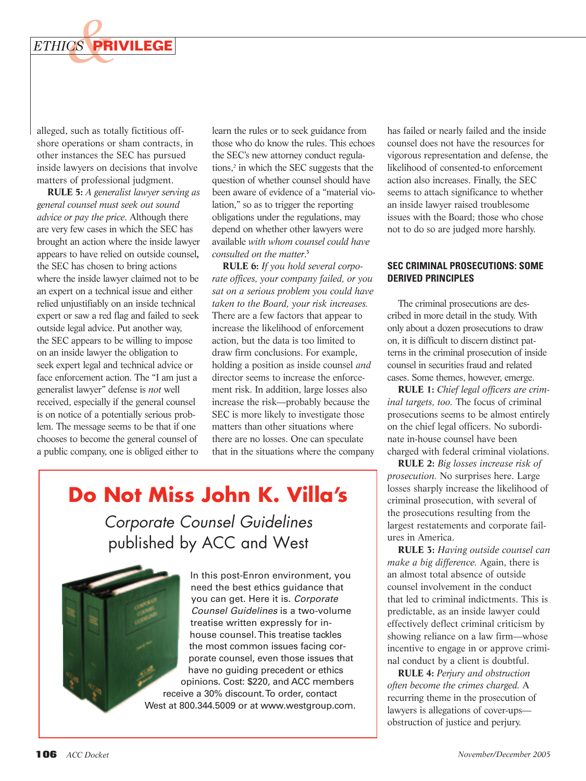

alleged, such as totally fictitious offshore operations or sham contracts, in other instances the SEC has pursued inside lawyers on decisions that involve matters of professional judgment.

**RULE 5:** *A generalist lawyer serving as general counsel must seek out sound advice or pay the price*. Although there are very few cases in which the SEC has brought an action where the inside lawyer appears to have relied on outside counsel**,** the SEC has chosen to bring actions where the inside lawyer claimed not to be an expert on a technical issue and either relied unjustifiably on an inside technical expert or saw a red flag and failed to seek outside legal advice. Put another way, the SEC appears to be willing to impose on an inside lawyer the obligation to seek expert legal and technical advice or face enforcement action. The "I am just a generalist lawyer" defense is *not* well received, especially if the general counsel is on notice of a potentially serious problem. The message seems to be that if one chooses to become the general counsel of a public company, one is obliged either to

learn the rules or to seek guidance from those who do know the rules. This echoes the SEC's new attorney conduct regulations,<sup>2</sup> in which the SEC suggests that the question of whether counsel should have been aware of evidence of a "material violation," so as to trigger the reporting obligations under the regulations, may depend on whether other lawyers were available *with whom counsel could have consulted on the matter*. **3**

**RULE 6:** *If you hold several corporate offices, your company failed, or you sat on a serious problem you could have taken to the Board, your risk increases.* There are a few factors that appear to increase the likelihood of enforcement action, but the data is too limited to draw firm conclusions. For example, holding a position as inside counsel *and* director seems to increase the enforcement risk. In addition, large losses also increase the risk—probably because the SEC is more likely to investigate those matters than other situations where there are no losses. One can speculate that in the situations where the company

**Do Not Miss John K. Villa's**

Corporate Counsel Guidelines published by ACC and West

> In this post-Enron environment, you need the best ethics guidance that you can get. Here it is. Corporate Counsel Guidelines is a two-volume treatise written expressly for inhouse counsel. This treatise tackles the most common issues facing corporate counsel, even those issues that have no guiding precedent or ethics opinions. Cost: \$220, and ACC members receive a 30% discount. To order, contact West at 800.344.5009 or at www.westgroup.com.

has failed or nearly failed and the inside counsel does not have the resources for vigorous representation and defense, the likelihood of consented-to enforcement action also increases. Finally, the SEC seems to attach significance to whether an inside lawyer raised troublesome issues with the Board; those who chose not to do so are judged more harshly.

### **SEC CRIMINAL PROSECUTIONS: SOME DERIVED PRINCIPLES**

The criminal prosecutions are described in more detail in the study. With only about a dozen prosecutions to draw on, it is difficult to discern distinct patterns in the criminal prosecution of inside counsel in securities fraud and related cases. Some themes, however, emerge.

**RULE 1:** *Chief legal officers are criminal targets, too.* The focus of criminal prosecutions seems to be almost entirely on the chief legal officers. No subordinate in-house counsel have been charged with federal criminal violations.

**RULE 2:** *Big losses increase risk of prosecution.* No surprises here. Large losses sharply increase the likelihood of criminal prosecution, with several of the prosecutions resulting from the largest restatements and corporate failures in America.

**RULE 3:** *Having outside counsel can make a big difference.* Again, there is an almost total absence of outside counsel involvement in the conduct that led to criminal indictments. This is predictable, as an inside lawyer could effectively deflect criminal criticism by showing reliance on a law firm—whose incentive to engage in or approve criminal conduct by a client is doubtful.

**RULE 4:** *Perjury and obstruction often become the crimes charged.* A recurring theme in the prosecution of lawyers is allegations of cover-ups obstruction of justice and perjury.